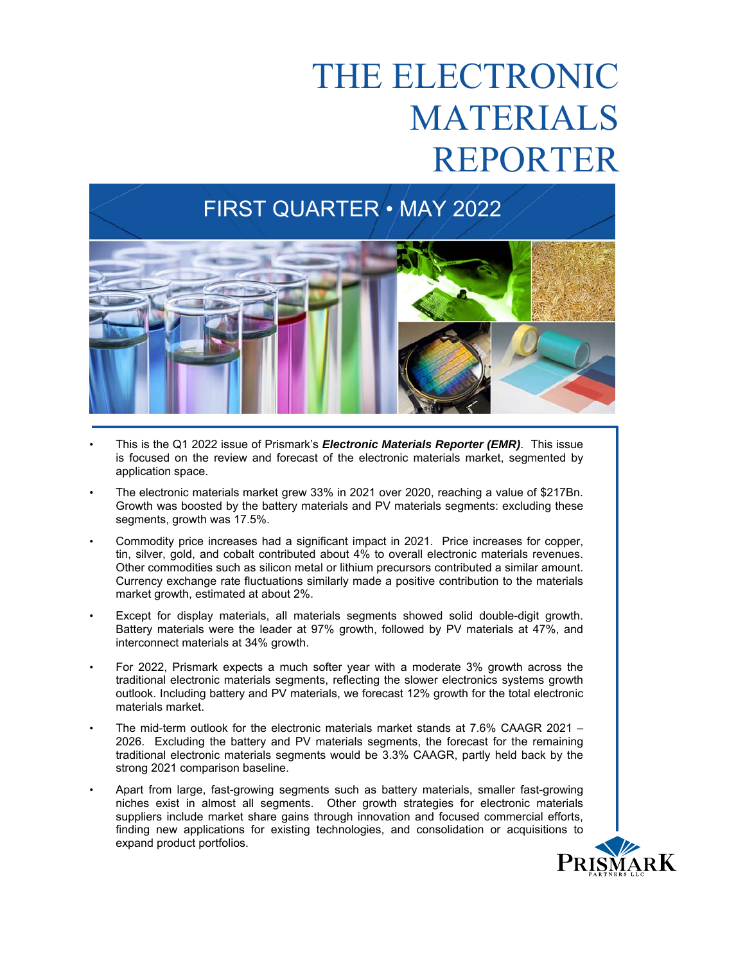#### FIRST QUARTER • MAY 2022



- This is the Q1 2022 issue of Prismark's *Electronic Materials Reporter (EMR)*.This issue is focused on the review and forecast of the electronic materials market, segmented by application space.
- The electronic materials market grew 33% in 2021 over 2020, reaching a value of \$217Bn. Growth was boosted by the battery materials and PV materials segments: excluding these segments, growth was 17.5%.
- Commodity price increases had a significant impact in 2021. Price increases for copper, tin, silver, gold, and cobalt contributed about 4% to overall electronic materials revenues. Other commodities such as silicon metal or lithium precursors contributed a similar amount. Currency exchange rate fluctuations similarly made a positive contribution to the materials market growth, estimated at about 2%.
- Except for display materials, all materials segments showed solid double-digit growth. Battery materials were the leader at 97% growth, followed by PV materials at 47%, and interconnect materials at 34% growth.
- For 2022, Prismark expects a much softer year with a moderate 3% growth across the traditional electronic materials segments, reflecting the slower electronics systems growth outlook. Including battery and PV materials, we forecast 12% growth for the total electronic materials market.
- The mid-term outlook for the electronic materials market stands at 7.6% CAAGR 2021 2026. Excluding the battery and PV materials segments, the forecast for the remaining traditional electronic materials segments would be 3.3% CAAGR, partly held back by the strong 2021 comparison baseline.
- Apart from large, fast-growing segments such as battery materials, smaller fast-growing niches exist in almost all segments. Other growth strategies for electronic materials suppliers include market share gains through innovation and focused commercial efforts, finding new applications for existing technologies, and consolidation or acquisitions to expand product portfolios.

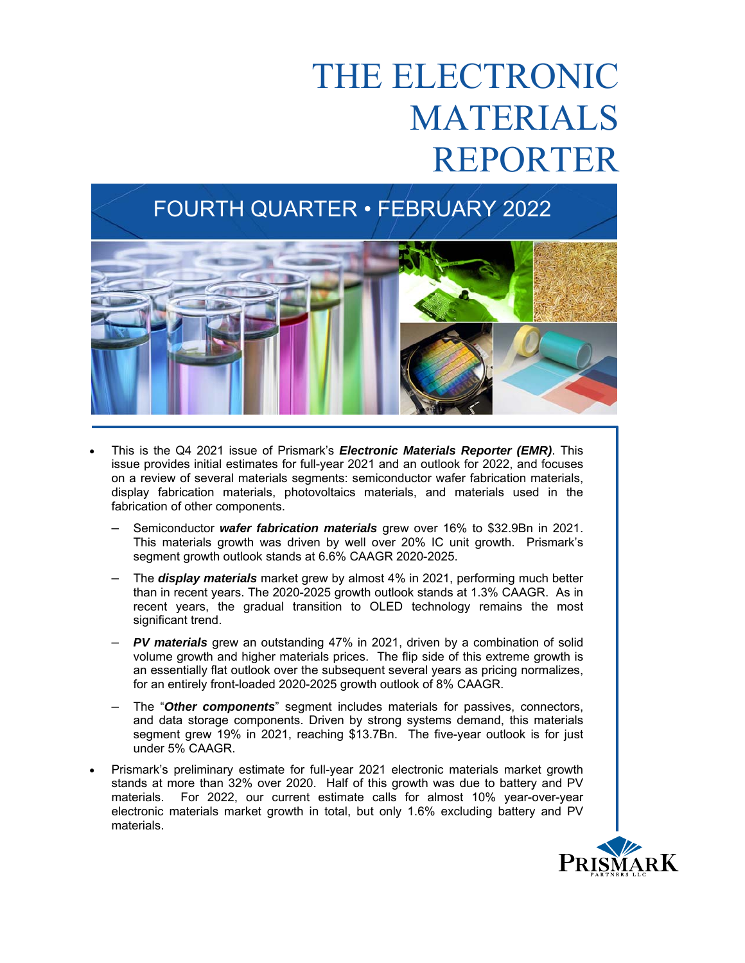### FOURTH QUARTER • FEBRUARY 2022



- This is the Q4 2021 issue of Prismark's *Electronic Materials Reporter (EMR)*. This issue provides initial estimates for full-year 2021 and an outlook for 2022, and focuses on a review of several materials segments: semiconductor wafer fabrication materials, display fabrication materials, photovoltaics materials, and materials used in the fabrication of other components.
	- Semiconductor *wafer fabrication materials* grew over 16% to \$32.9Bn in 2021. This materials growth was driven by well over 20% IC unit growth. Prismark's segment growth outlook stands at 6.6% CAAGR 2020-2025.
	- The *display materials* market grew by almost 4% in 2021, performing much better than in recent years. The 2020-2025 growth outlook stands at 1.3% CAAGR. As in recent years, the gradual transition to OLED technology remains the most significant trend.
	- *PV materials* grew an outstanding 47% in 2021, driven by a combination of solid volume growth and higher materials prices. The flip side of this extreme growth is an essentially flat outlook over the subsequent several years as pricing normalizes, for an entirely front-loaded 2020-2025 growth outlook of 8% CAAGR.
	- The "*Other components*" segment includes materials for passives, connectors, and data storage components. Driven by strong systems demand, this materials segment grew 19% in 2021, reaching \$13.7Bn. The five-year outlook is for just under 5% CAAGR.
- Prismark's preliminary estimate for full-year 2021 electronic materials market growth stands at more than 32% over 2020. Half of this growth was due to battery and PV materials. For 2022, our current estimate calls for almost 10% year-over-year electronic materials market growth in total, but only 1.6% excluding battery and PV materials.

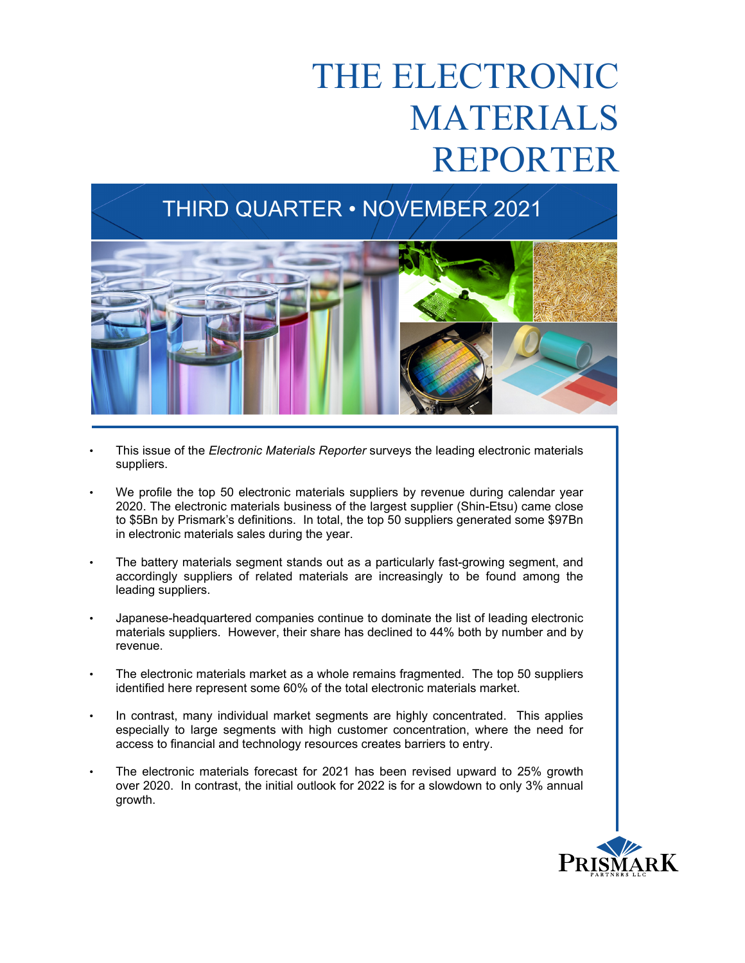### THIRD QUARTER • NOVEMBER 2021



- This issue of the *Electronic Materials Reporter* surveys the leading electronic materials suppliers.
- We profile the top 50 electronic materials suppliers by revenue during calendar year 2020. The electronic materials business of the largest supplier (Shin-Etsu) came close to \$5Bn by Prismark's definitions. In total, the top 50 suppliers generated some \$97Bn in electronic materials sales during the year.
- The battery materials segment stands out as a particularly fast-growing segment, and accordingly suppliers of related materials are increasingly to be found among the leading suppliers.
- Japanese-headquartered companies continue to dominate the list of leading electronic materials suppliers. However, their share has declined to 44% both by number and by revenue.
- The electronic materials market as a whole remains fragmented. The top 50 suppliers identified here represent some 60% of the total electronic materials market.
- In contrast, many individual market segments are highly concentrated. This applies especially to large segments with high customer concentration, where the need for access to financial and technology resources creates barriers to entry.
- The electronic materials forecast for 2021 has been revised upward to 25% growth over 2020. In contrast, the initial outlook for 2022 is for a slowdown to only 3% annual growth.

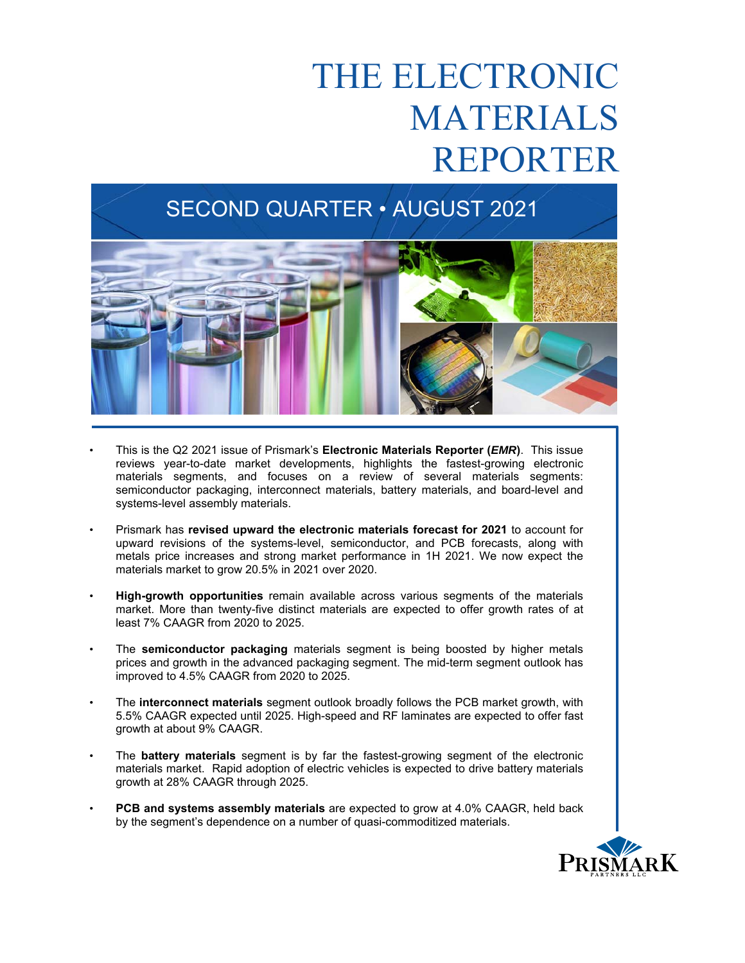#### SECOND QUARTER • AUGUST 2021



- $\overline{\phantom{a}}$ • This is the Q2 2021 issue of Prismark's **Electronic Materials Reporter (***EMR***)**.This issue reviews year-to-date market developments, highlights the fastest-growing electronic materials segments, and focuses on a review of several materials segments: semiconductor packaging, interconnect materials, battery materials, and board-level and systems-level assembly materials.
- Prismark has **revised upward the electronic materials forecast for 2021** to account for upward revisions of the systems-level, semiconductor, and PCB forecasts, along with metals price increases and strong market performance in 1H 2021. We now expect the materials market to grow 20.5% in 2021 over 2020.
- **High-growth opportunities** remain available across various segments of the materials market. More than twenty-five distinct materials are expected to offer growth rates of at least 7% CAAGR from 2020 to 2025.
- The **semiconductor packaging** materials segment is being boosted by higher metals prices and growth in the advanced packaging segment. The mid-term segment outlook has improved to 4.5% CAAGR from 2020 to 2025.
- The **interconnect materials** segment outlook broadly follows the PCB market growth, with 5.5% CAAGR expected until 2025. High-speed and RF laminates are expected to offer fast growth at about 9% CAAGR.
- The **battery materials** segment is by far the fastest-growing segment of the electronic materials market. Rapid adoption of electric vehicles is expected to drive battery materials growth at 28% CAAGR through 2025.
- **PCB and systems assembly materials** are expected to grow at 4.0% CAAGR, held back by the segment's dependence on a number of quasi-commoditized materials.